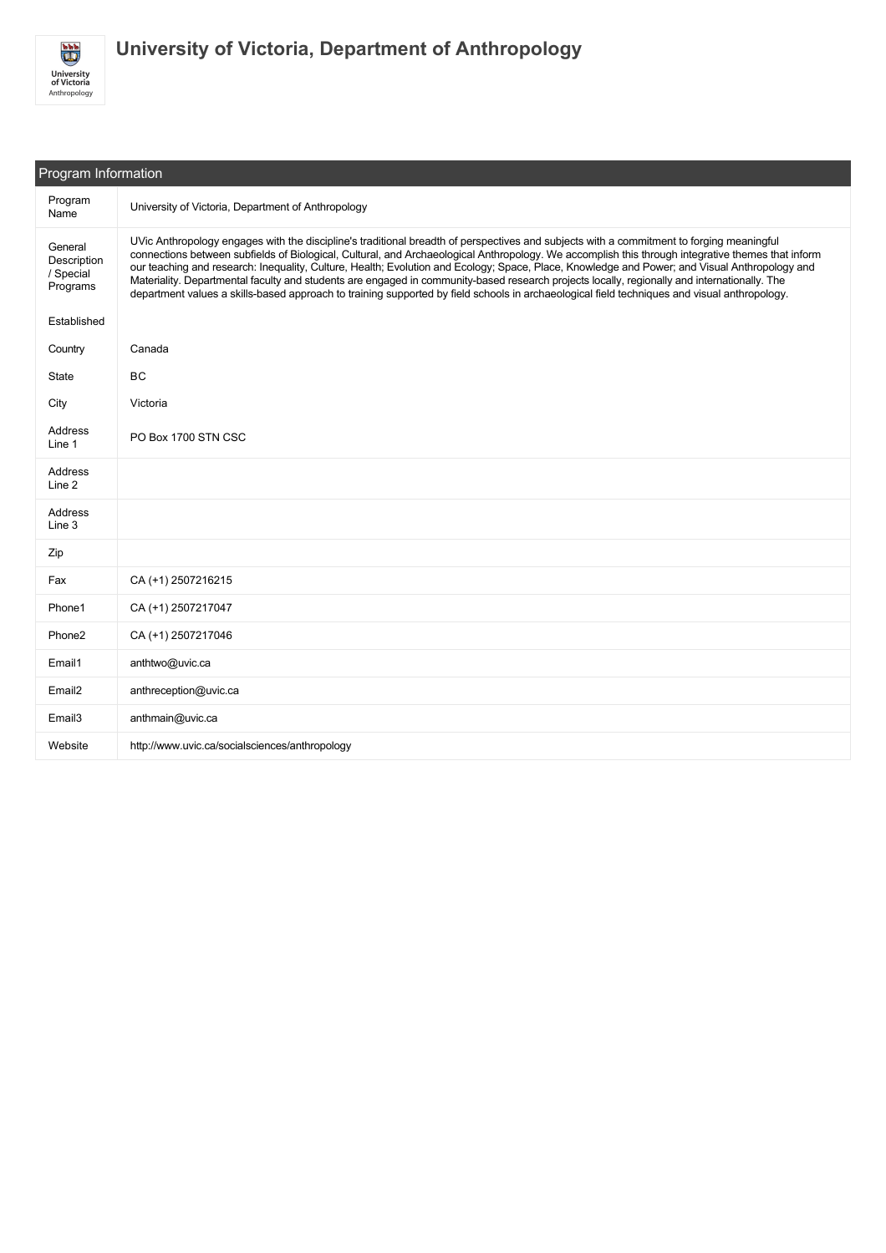

| Program Information                             |                                                                                                                                                                                                                                                                                                                                                                                                                                                                                                                                                                                                                                                                                                                                                |  |  |
|-------------------------------------------------|------------------------------------------------------------------------------------------------------------------------------------------------------------------------------------------------------------------------------------------------------------------------------------------------------------------------------------------------------------------------------------------------------------------------------------------------------------------------------------------------------------------------------------------------------------------------------------------------------------------------------------------------------------------------------------------------------------------------------------------------|--|--|
| Program<br>Name                                 | University of Victoria, Department of Anthropology                                                                                                                                                                                                                                                                                                                                                                                                                                                                                                                                                                                                                                                                                             |  |  |
| General<br>Description<br>/ Special<br>Programs | UVic Anthropology engages with the discipline's traditional breadth of perspectives and subjects with a commitment to forging meaningful<br>connections between subfields of Biological, Cultural, and Archaeological Anthropology. We accomplish this through integrative themes that inform<br>our teaching and research: Inequality, Culture, Health; Evolution and Ecology; Space, Place, Knowledge and Power; and Visual Anthropology and<br>Materiality. Departmental faculty and students are engaged in community-based research projects locally, regionally and internationally. The<br>department values a skills-based approach to training supported by field schools in archaeological field techniques and visual anthropology. |  |  |
| Established                                     |                                                                                                                                                                                                                                                                                                                                                                                                                                                                                                                                                                                                                                                                                                                                                |  |  |
| Country                                         | Canada                                                                                                                                                                                                                                                                                                                                                                                                                                                                                                                                                                                                                                                                                                                                         |  |  |
| State                                           | BC                                                                                                                                                                                                                                                                                                                                                                                                                                                                                                                                                                                                                                                                                                                                             |  |  |
| City                                            | Victoria                                                                                                                                                                                                                                                                                                                                                                                                                                                                                                                                                                                                                                                                                                                                       |  |  |
| Address<br>Line 1                               | PO Box 1700 STN CSC                                                                                                                                                                                                                                                                                                                                                                                                                                                                                                                                                                                                                                                                                                                            |  |  |
| Address<br>Line 2                               |                                                                                                                                                                                                                                                                                                                                                                                                                                                                                                                                                                                                                                                                                                                                                |  |  |
| Address<br>Line 3                               |                                                                                                                                                                                                                                                                                                                                                                                                                                                                                                                                                                                                                                                                                                                                                |  |  |
| Zip                                             |                                                                                                                                                                                                                                                                                                                                                                                                                                                                                                                                                                                                                                                                                                                                                |  |  |
| Fax                                             | CA (+1) 2507216215                                                                                                                                                                                                                                                                                                                                                                                                                                                                                                                                                                                                                                                                                                                             |  |  |
| Phone1                                          | CA (+1) 2507217047                                                                                                                                                                                                                                                                                                                                                                                                                                                                                                                                                                                                                                                                                                                             |  |  |
| Phone <sub>2</sub>                              | CA (+1) 2507217046                                                                                                                                                                                                                                                                                                                                                                                                                                                                                                                                                                                                                                                                                                                             |  |  |
| Email1                                          | anthtwo@uvic.ca                                                                                                                                                                                                                                                                                                                                                                                                                                                                                                                                                                                                                                                                                                                                |  |  |
| Email <sub>2</sub>                              | anthreception@uvic.ca                                                                                                                                                                                                                                                                                                                                                                                                                                                                                                                                                                                                                                                                                                                          |  |  |
| Email <sub>3</sub>                              | anthmain@uvic.ca                                                                                                                                                                                                                                                                                                                                                                                                                                                                                                                                                                                                                                                                                                                               |  |  |
| Website                                         | http://www.uvic.ca/socialsciences/anthropology                                                                                                                                                                                                                                                                                                                                                                                                                                                                                                                                                                                                                                                                                                 |  |  |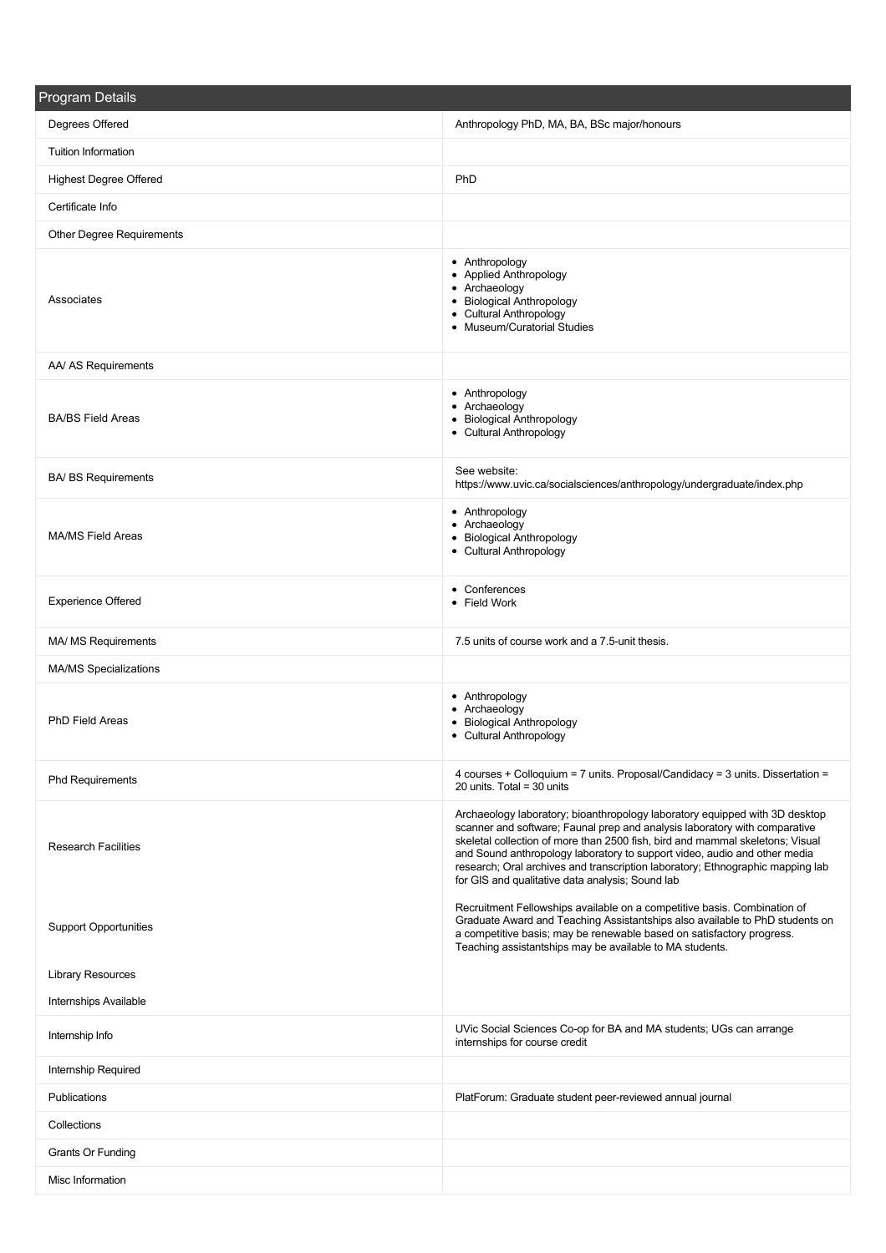| <b>Program Details</b>        |                                                                                                                                                                                                                                                                                                                                                                                                                                                               |
|-------------------------------|---------------------------------------------------------------------------------------------------------------------------------------------------------------------------------------------------------------------------------------------------------------------------------------------------------------------------------------------------------------------------------------------------------------------------------------------------------------|
| Degrees Offered               | Anthropology PhD, MA, BA, BSc major/honours                                                                                                                                                                                                                                                                                                                                                                                                                   |
| <b>Tuition Information</b>    |                                                                                                                                                                                                                                                                                                                                                                                                                                                               |
| <b>Highest Degree Offered</b> | PhD                                                                                                                                                                                                                                                                                                                                                                                                                                                           |
| Certificate Info              |                                                                                                                                                                                                                                                                                                                                                                                                                                                               |
| Other Degree Requirements     |                                                                                                                                                                                                                                                                                                                                                                                                                                                               |
| Associates                    | • Anthropology<br>• Applied Anthropology<br>• Archaeology<br>• Biological Anthropology<br>• Cultural Anthropology<br>• Museum/Curatorial Studies                                                                                                                                                                                                                                                                                                              |
| AA/ AS Requirements           |                                                                                                                                                                                                                                                                                                                                                                                                                                                               |
| <b>BA/BS Field Areas</b>      | • Anthropology<br>• Archaeology<br>• Biological Anthropology<br>• Cultural Anthropology                                                                                                                                                                                                                                                                                                                                                                       |
| <b>BA/ BS Requirements</b>    | See website:<br>https://www.uvic.ca/socialsciences/anthropology/undergraduate/index.php                                                                                                                                                                                                                                                                                                                                                                       |
| <b>MA/MS Field Areas</b>      | • Anthropology<br>• Archaeology<br>• Biological Anthropology<br>• Cultural Anthropology                                                                                                                                                                                                                                                                                                                                                                       |
| <b>Experience Offered</b>     | • Conferences<br>• Field Work                                                                                                                                                                                                                                                                                                                                                                                                                                 |
| MA/ MS Requirements           | 7.5 units of course work and a 7.5-unit thesis.                                                                                                                                                                                                                                                                                                                                                                                                               |
| <b>MA/MS Specializations</b>  |                                                                                                                                                                                                                                                                                                                                                                                                                                                               |
| <b>PhD Field Areas</b>        | • Anthropology<br>• Archaeology<br>• Biological Anthropology<br>• Cultural Anthropology                                                                                                                                                                                                                                                                                                                                                                       |
| <b>Phd Requirements</b>       | 4 courses + Colloquium = 7 units. Proposal/Candidacy = 3 units. Dissertation =<br>20 units. Total = $30$ units                                                                                                                                                                                                                                                                                                                                                |
| <b>Research Facilities</b>    | Archaeology laboratory; bioanthropology laboratory equipped with 3D desktop<br>scanner and software; Faunal prep and analysis laboratory with comparative<br>skeletal collection of more than 2500 fish, bird and mammal skeletons; Visual<br>and Sound anthropology laboratory to support video, audio and other media<br>research; Oral archives and transcription laboratory; Ethnographic mapping lab<br>for GIS and qualitative data analysis; Sound lab |
| <b>Support Opportunities</b>  | Recruitment Fellowships available on a competitive basis. Combination of<br>Graduate Award and Teaching Assistantships also available to PhD students on<br>a competitive basis; may be renewable based on satisfactory progress.<br>Teaching assistantships may be available to MA students.                                                                                                                                                                 |
| <b>Library Resources</b>      |                                                                                                                                                                                                                                                                                                                                                                                                                                                               |
| Internships Available         |                                                                                                                                                                                                                                                                                                                                                                                                                                                               |
| Internship Info               | UVic Social Sciences Co-op for BA and MA students; UGs can arrange<br>internships for course credit                                                                                                                                                                                                                                                                                                                                                           |
| Internship Required           |                                                                                                                                                                                                                                                                                                                                                                                                                                                               |
| Publications                  | PlatForum: Graduate student peer-reviewed annual journal                                                                                                                                                                                                                                                                                                                                                                                                      |
| Collections                   |                                                                                                                                                                                                                                                                                                                                                                                                                                                               |
| Grants Or Funding             |                                                                                                                                                                                                                                                                                                                                                                                                                                                               |
| Misc Information              |                                                                                                                                                                                                                                                                                                                                                                                                                                                               |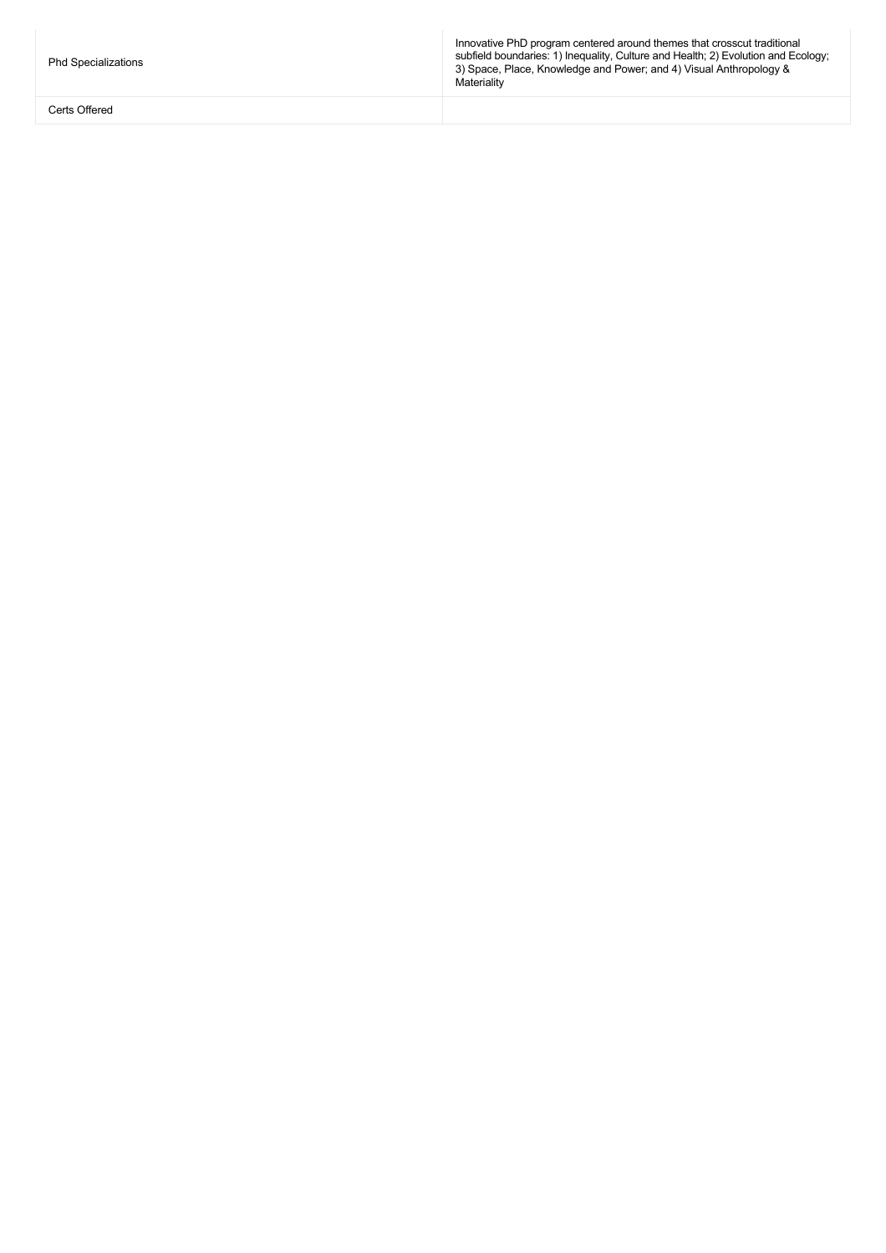Phd Specializations

Certs Offered

Innovative PhD program centered around themes that crosscut traditional subfield boundaries: 1) Inequality, Culture and Health; 2) Evolution and Ecology; 3) Space, Place, Knowledge and Power; and 4) Visual Anthropology & Materiality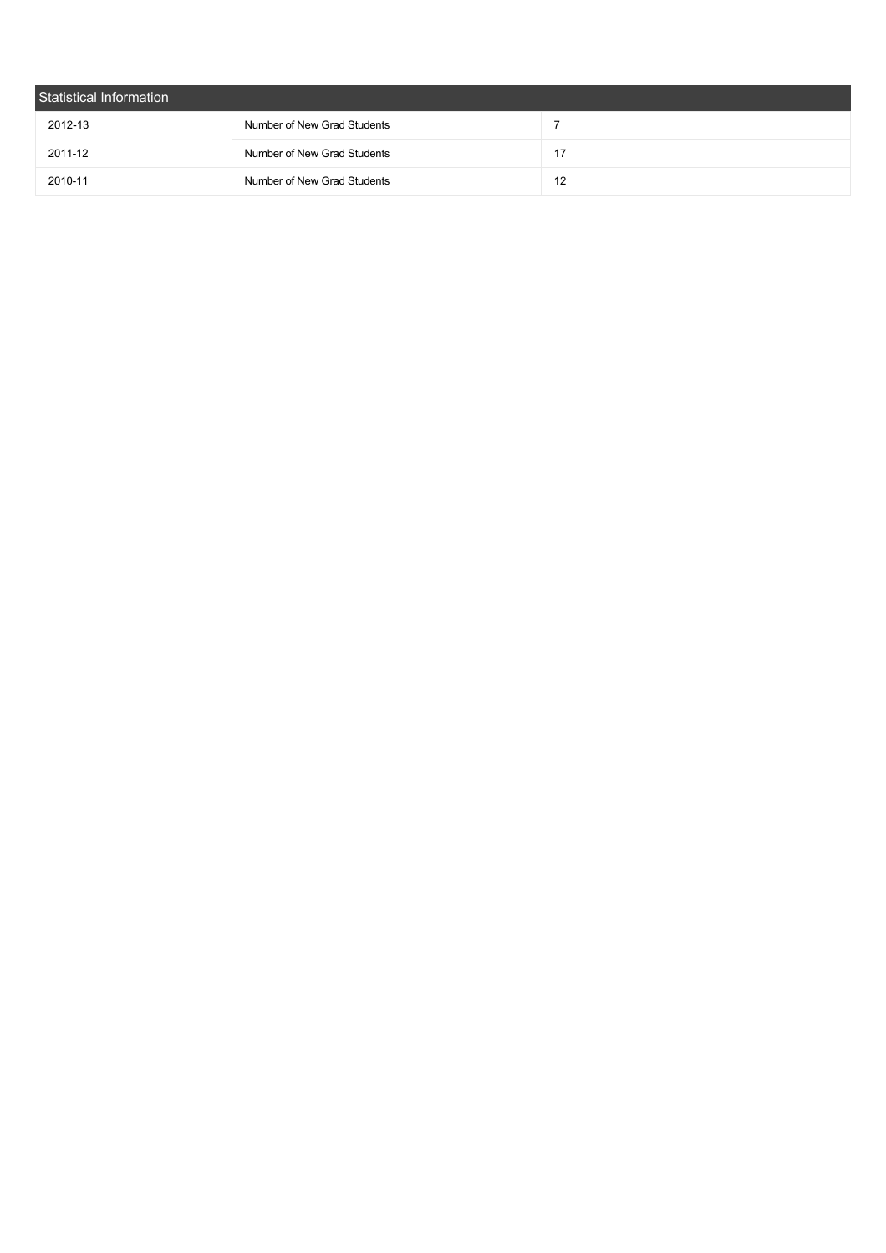| Statistical Information |                             |    |  |  |
|-------------------------|-----------------------------|----|--|--|
| 2012-13                 | Number of New Grad Students |    |  |  |
| 2011-12                 | Number of New Grad Students | 17 |  |  |
| 2010-11                 | Number of New Grad Students | 12 |  |  |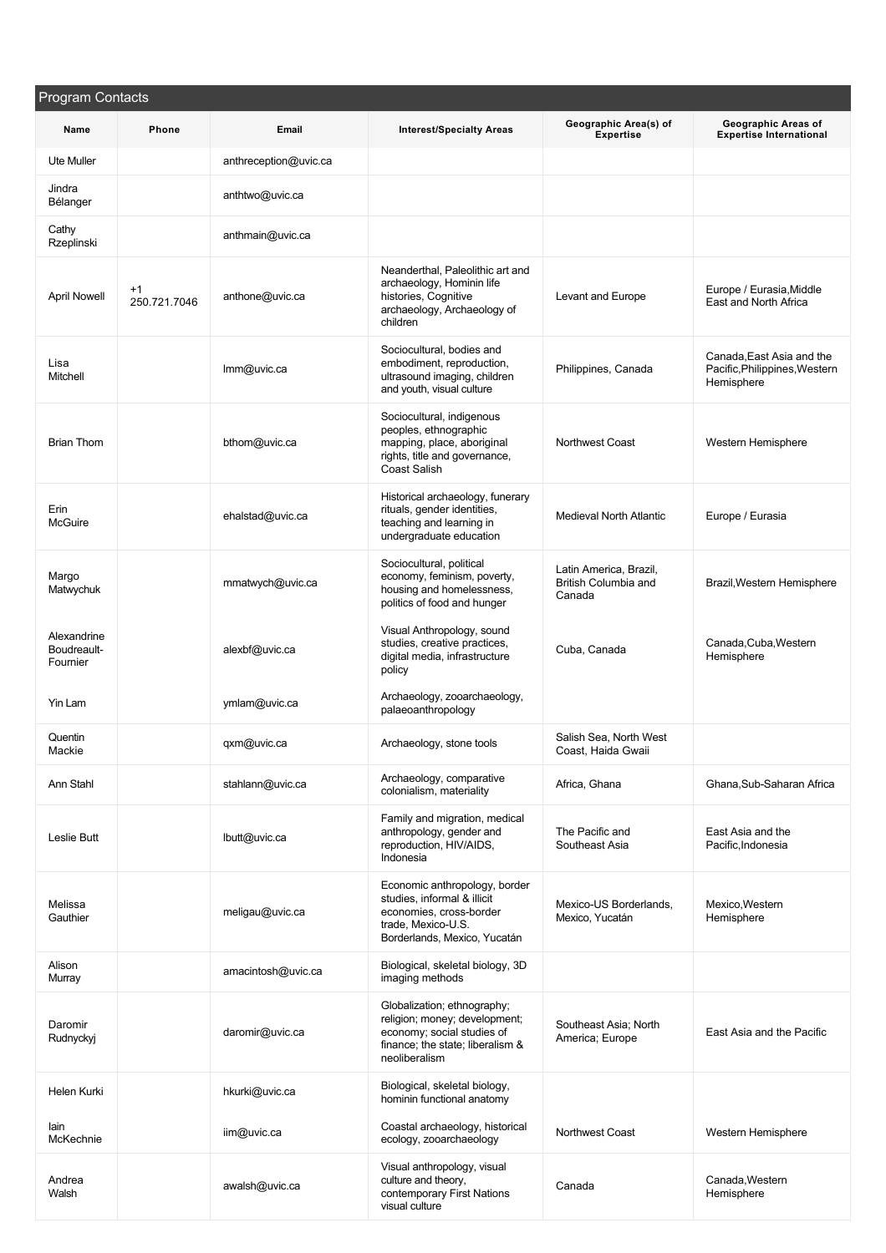| Program Contacts                       |                      |                       |                                                                                                                                                 |                                                          |                                                                          |
|----------------------------------------|----------------------|-----------------------|-------------------------------------------------------------------------------------------------------------------------------------------------|----------------------------------------------------------|--------------------------------------------------------------------------|
| Name                                   | <b>Phone</b>         | Email                 | <b>Interest/Specialty Areas</b>                                                                                                                 | Geographic Area(s) of<br><b>Expertise</b>                | Geographic Areas of<br><b>Expertise International</b>                    |
| <b>Ute Muller</b>                      |                      | anthreception@uvic.ca |                                                                                                                                                 |                                                          |                                                                          |
| Jindra<br>Bélanger                     |                      | anthtwo@uvic.ca       |                                                                                                                                                 |                                                          |                                                                          |
| Cathy<br>Rzeplinski                    |                      | anthmain@uvic.ca      |                                                                                                                                                 |                                                          |                                                                          |
| <b>April Nowell</b>                    | $+1$<br>250.721.7046 | anthone@uvic.ca       | Neanderthal, Paleolithic art and<br>archaeology, Hominin life<br>histories, Cognitive<br>archaeology, Archaeology of<br>children                | Levant and Europe                                        | Europe / Eurasia, Middle<br>East and North Africa                        |
| Lisa<br>Mitchell                       |                      | Imm@uvic.ca           | Sociocultural, bodies and<br>embodiment, reproduction,<br>ultrasound imaging, children<br>and youth, visual culture                             | Philippines, Canada                                      | Canada, East Asia and the<br>Pacific, Philippines, Western<br>Hemisphere |
| <b>Brian Thom</b>                      |                      | bthom@uvic.ca         | Sociocultural, indigenous<br>peoples, ethnographic<br>mapping, place, aboriginal<br>rights, title and governance,<br>Coast Salish               | Northwest Coast                                          | Western Hemisphere                                                       |
| Erin<br>McGuire                        |                      | ehalstad@uvic.ca      | Historical archaeology, funerary<br>rituals, gender identities,<br>teaching and learning in<br>undergraduate education                          | <b>Medieval North Atlantic</b>                           | Europe / Eurasia                                                         |
| Margo<br>Matwychuk                     |                      | mmatwych@uvic.ca      | Sociocultural, political<br>economy, feminism, poverty,<br>housing and homelessness,<br>politics of food and hunger                             | Latin America, Brazil,<br>British Columbia and<br>Canada | Brazil, Western Hemisphere                                               |
| Alexandrine<br>Boudreault-<br>Fournier |                      | alexbf@uvic.ca        | Visual Anthropology, sound<br>studies, creative practices,<br>digital media, infrastructure<br>policy                                           | Cuba, Canada                                             | Canada, Cuba, Western<br>Hemisphere                                      |
| Yin Lam                                |                      | ymlam@uvic.ca         | Archaeology, zooarchaeology,<br>palaeoanthropology                                                                                              |                                                          |                                                                          |
| Quentin<br>Mackie                      |                      | qxm@uvic.ca           | Archaeology, stone tools                                                                                                                        | Salish Sea, North West<br>Coast, Haida Gwaii             |                                                                          |
| Ann Stahl                              |                      | stahlann@uvic.ca      | Archaeology, comparative<br>colonialism, materiality                                                                                            | Africa, Ghana                                            | Ghana, Sub-Saharan Africa                                                |
| Leslie Butt                            |                      | lbutt@uvic.ca         | Family and migration, medical<br>anthropology, gender and<br>reproduction, HIV/AIDS,<br>Indonesia                                               | The Pacific and<br>Southeast Asia                        | East Asia and the<br>Pacific.Indonesia                                   |
| Melissa<br>Gauthier                    |                      | meligau@uvic.ca       | Economic anthropology, border<br>studies, informal & illicit<br>economies, cross-border<br>trade, Mexico-U.S.<br>Borderlands, Mexico, Yucatán   | Mexico-US Borderlands.<br>Mexico, Yucatán                | Mexico, Western<br>Hemisphere                                            |
| Alison<br>Murray                       |                      | amacintosh@uvic.ca    | Biological, skeletal biology, 3D<br>imaging methods                                                                                             |                                                          |                                                                          |
| Daromir<br>Rudnyckyj                   |                      | daromir@uvic.ca       | Globalization; ethnography;<br>religion; money; development;<br>economy; social studies of<br>finance; the state; liberalism &<br>neoliberalism | Southeast Asia; North<br>America; Europe                 | East Asia and the Pacific                                                |
| Helen Kurki                            |                      | hkurki@uvic.ca        | Biological, skeletal biology,<br>hominin functional anatomy                                                                                     |                                                          |                                                                          |
| lain<br>McKechnie                      |                      | iim@uvic.ca           | Coastal archaeology, historical<br>ecology, zooarchaeology                                                                                      | Northwest Coast                                          | Western Hemisphere                                                       |
| Andrea<br>Walsh                        |                      | awalsh@uvic.ca        | Visual anthropology, visual<br>culture and theory,<br>contemporary First Nations<br>visual culture                                              | Canada                                                   | Canada, Western<br>Hemisphere                                            |